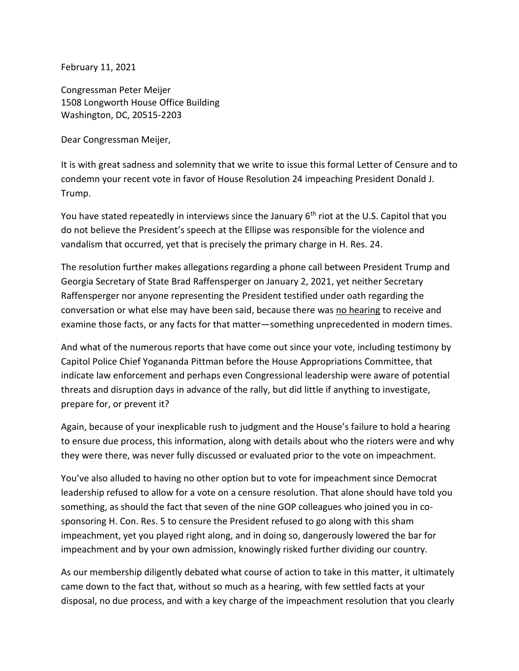February 11, 2021

Congressman Peter Meijer 1508 Longworth House Office Building Washington, DC, 20515-2203

Dear Congressman Meijer,

It is with great sadness and solemnity that we write to issue this formal Letter of Censure and to condemn your recent vote in favor of House Resolution 24 impeaching President Donald J. Trump.

You have stated repeatedly in interviews since the January  $6<sup>th</sup>$  riot at the U.S. Capitol that you do not believe the President's speech at the Ellipse was responsible for the violence and vandalism that occurred, yet that is precisely the primary charge in H. Res. 24.

The resolution further makes allegations regarding a phone call between President Trump and Georgia Secretary of State Brad Raffensperger on January 2, 2021, yet neither Secretary Raffensperger nor anyone representing the President testified under oath regarding the conversation or what else may have been said, because there was no hearing to receive and examine those facts, or any facts for that matter—something unprecedented in modern times.

And what of the numerous reports that have come out since your vote, including testimony by Capitol Police Chief Yogananda Pittman before the House Appropriations Committee, that indicate law enforcement and perhaps even Congressional leadership were aware of potential threats and disruption days in advance of the rally, but did little if anything to investigate, prepare for, or prevent it?

Again, because of your inexplicable rush to judgment and the House's failure to hold a hearing to ensure due process, this information, along with details about who the rioters were and why they were there, was never fully discussed or evaluated prior to the vote on impeachment.

You've also alluded to having no other option but to vote for impeachment since Democrat leadership refused to allow for a vote on a censure resolution. That alone should have told you something, as should the fact that seven of the nine GOP colleagues who joined you in cosponsoring H. Con. Res. 5 to censure the President refused to go along with this sham impeachment, yet you played right along, and in doing so, dangerously lowered the bar for impeachment and by your own admission, knowingly risked further dividing our country.

As our membership diligently debated what course of action to take in this matter, it ultimately came down to the fact that, without so much as a hearing, with few settled facts at your disposal, no due process, and with a key charge of the impeachment resolution that you clearly